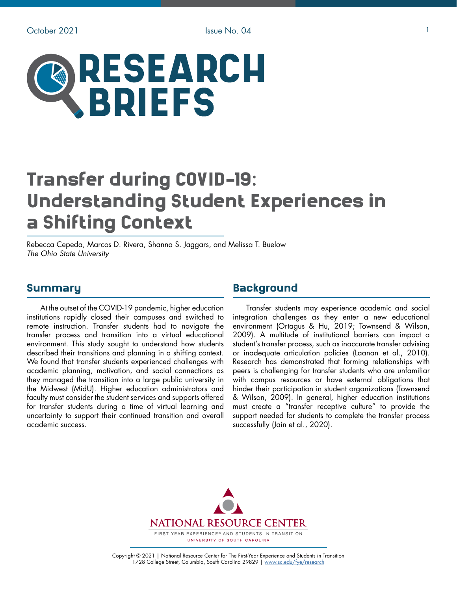

# Transfer during COVID-19: Understanding Student Experiences in a Shifting Context

Rebecca Cepeda, Marcos D. Rivera, Shanna S. Jaggars, and Melissa T. Buelow *The Ohio State University*

#### Summary

At the outset of the COVID-19 pandemic, higher education institutions rapidly closed their campuses and switched to remote instruction. Transfer students had to navigate the transfer process and transition into a virtual educational environment. This study sought to understand how students described their transitions and planning in a shifting context. We found that transfer students experienced challenges with academic planning, motivation, and social connections as they managed the transition into a large public university in the Midwest (MidU). Higher education administrators and faculty must consider the student services and supports offered for transfer students during a time of virtual learning and uncertainty to support their continued transition and overall academic success.

## **Background**

Transfer students may experience academic and social integration challenges as they enter a new educational environment (Ortagus & Hu, 2019; Townsend & Wilson, 2009). A multitude of institutional barriers can impact a student's transfer process, such as inaccurate transfer advising or inadequate articulation policies (Laanan et al., 2010). Research has demonstrated that forming relationships with peers is challenging for transfer students who are unfamiliar with campus resources or have external obligations that hinder their participation in student organizations (Townsend & Wilson, 2009). In general, higher education institutions must create a "transfer receptive culture" to provide the support needed for students to complete the transfer process successfully (Jain et al., 2020).



Copyright © 2021 | National Resource Center for The First-Year Experience and Students in Transition 1728 College Street, Columbia, South Carolina 29829 | [www.sc.edu/fye/research](https://sc.edu/about/offices_and_divisions/national_resource_center/research/index.php)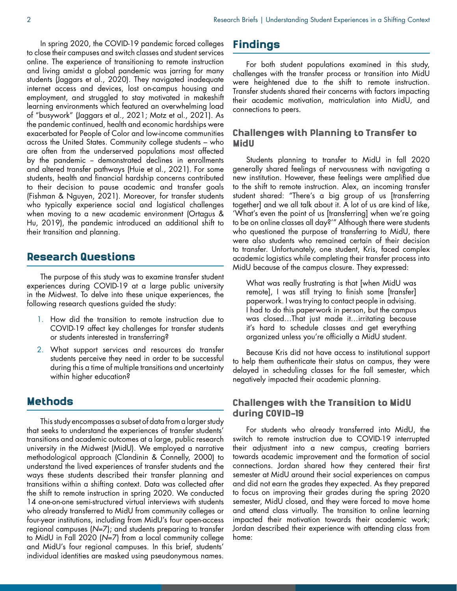In spring 2020, the COVID-19 pandemic forced colleges to close their campuses and switch classes and student services online. The experience of transitioning to remote instruction and living amidst a global pandemic was jarring for many students (Jaggars et al., 2020). They navigated inadequate internet access and devices, lost on-campus housing and employment, and struggled to stay motivated in makeshift learning environments which featured an overwhelming load of "busywork" (Jaggars et al., 2021; Motz et al., 2021). As the pandemic continued, health and economic hardships were exacerbated for People of Color and low-income communities across the United States. Community college students – who are often from the underserved populations most affected by the pandemic - demonstrated declines in enrollments and altered transfer pathways (Huie et al., 2021). For some students, health and financial hardship concerns contributed to their decision to pause academic and transfer goals (Fishman & Nguyen, 2021). Moreover, for transfer students who typically experience social and logistical challenges when moving to a new academic environment (Ortagus & Hu, 2019), the pandemic introduced an additional shift to their transition and planning.

## Research Questions

The purpose of this study was to examine transfer student experiences during COVID-19 at a large public university in the Midwest. To delve into these unique experiences, the following research questions guided the study:

- 1. How did the transition to remote instruction due to COVID-19 affect key challenges for transfer students or students interested in transferring?
- 2. What support services and resources do transfer students perceive they need in order to be successful during this a time of multiple transitions and uncertainty within higher education?

## Methods

This study encompasses a subset of data from a larger study that seeks to understand the experiences of transfer students' transitions and academic outcomes at a large, public research university in the Midwest (MidU). We employed a narrative methodological approach (Clandinin & Connelly, 2000) to understand the lived experiences of transfer students and the ways these students described their transfer planning and transitions within a shifting context. Data was collected after the shift to remote instruction in spring 2020. We conducted 14 one-on-one semi-structured virtual interviews with students who already transferred to MidU from community colleges or four-year institutions, including from MidU's four open-access regional campuses (*N*=7); and students preparing to transfer to MidU in Fall 2020 (*N*=7) from a local community college and MidU's four regional campuses. In this brief, students' individual identities are masked using pseudonymous names.

# Findings

For both student populations examined in this study, challenges with the transfer process or transition into MidU were heightened due to the shift to remote instruction. Transfer students shared their concerns with factors impacting their academic motivation, matriculation into MidU, and connections to peers.

#### Challenges with Planning to Transfer to MidU

Students planning to transfer to MidU in fall 2020 generally shared feelings of nervousness with navigating a new institution. However, these feelings were amplified due to the shift to remote instruction. Alex, an incoming transfer student shared: "There's a big group of us [transferring together] and we all talk about it. A lot of us are kind of like, 'What's even the point of us [transferring] when we're going to be on online classes all day?'" Although there were students who questioned the purpose of transferring to MidU, there were also students who remained certain of their decision to transfer. Unfortunately, one student, Kris, faced complex academic logistics while completing their transfer process into MidU because of the campus closure. They expressed:

What was really frustrating is that [when MidU was remote], I was still trying to finish some [transfer] paperwork. I was trying to contact people in advising. I had to do this paperwork in person, but the campus was closed…That just made it…irritating because it's hard to schedule classes and get everything organized unless you're officially a MidU student.

Because Kris did not have access to institutional support to help them authenticate their status on campus, they were delayed in scheduling classes for the fall semester, which negatively impacted their academic planning.

#### Challenges with the Transition to MidU during COVID-19

For students who already transferred into MidU, the switch to remote instruction due to COVID-19 interrupted their adjustment into a new campus, creating barriers towards academic improvement and the formation of social connections. Jordan shared how they centered their first semester at MidU around their social experiences on campus and did not earn the grades they expected. As they prepared to focus on improving their grades during the spring 2020 semester, MidU closed, and they were forced to move home and attend class virtually. The transition to online learning impacted their motivation towards their academic work; Jordan described their experience with attending class from home: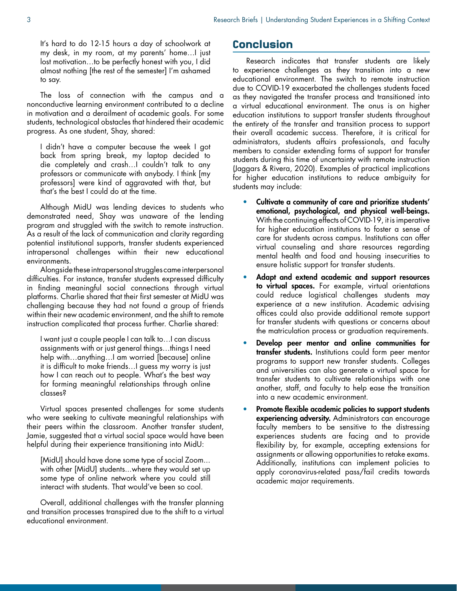It's hard to do 12-15 hours a day of schoolwork at my desk, in my room, at my parents' home…I just lost motivation…to be perfectly honest with you, I did almost nothing [the rest of the semester] I'm ashamed to say.

The loss of connection with the campus and a nonconductive learning environment contributed to a decline in motivation and a derailment of academic goals. For some students, technological obstacles that hindered their academic progress. As one student, Shay, shared:

I didn't have a computer because the week I got back from spring break, my laptop decided to die completely and crash…I couldn't talk to any professors or communicate with anybody. I think [my professors] were kind of aggravated with that, but that's the best I could do at the time.

Although MidU was lending devices to students who demonstrated need, Shay was unaware of the lending program and struggled with the switch to remote instruction. As a result of the lack of communication and clarity regarding potential institutional supports, transfer students experienced intrapersonal challenges within their new educational environments.

Alongside these intrapersonal struggles came interpersonal difficulties. For instance, transfer students expressed difficulty in finding meaningful social connections through virtual platforms. Charlie shared that their first semester at MidU was challenging because they had not found a group of friends within their new academic environment, and the shift to remote instruction complicated that process further. Charlie shared:

I want just a couple people I can talk to…I can discuss assignments with or just general things…things I need help with…anything…I am worried [because] online it is difficult to make friends…I guess my worry is just how I can reach out to people. What's the best way for forming meaningful relationships through online classes?

Virtual spaces presented challenges for some students who were seeking to cultivate meaningful relationships with their peers within the classroom. Another transfer student, Jamie, suggested that a virtual social space would have been helpful during their experience transitioning into MidU:

[MidU] should have done some type of social Zoom... with other [MidU] students...where they would set up some type of online network where you could still interact with students. That would've been so cool.

Overall, additional challenges with the transfer planning and transition processes transpired due to the shift to a virtual educational environment.

## Conclusion

Research indicates that transfer students are likely to experience challenges as they transition into a new educational environment. The switch to remote instruction due to COVID-19 exacerbated the challenges students faced as they navigated the transfer process and transitioned into a virtual educational environment. The onus is on higher education institutions to support transfer students throughout the entirety of the transfer and transition process to support their overall academic success. Therefore, it is critical for administrators, students affairs professionals, and faculty members to consider extending forms of support for transfer students during this time of uncertainty with remote instruction (Jaggars & Rivera, 2020). Examples of practical implications for higher education institutions to reduce ambiguity for students may include:

- Cultivate a community of care and prioritize students' emotional, psychological, and physical well-beings. With the continuing effects of COVID-19, it is imperative for higher education institutions to foster a sense of care for students across campus. Institutions can offer virtual counseling and share resources regarding mental health and food and housing insecurities to ensure holistic support for transfer students.
- Adapt and extend academic and support resources to virtual spaces. For example, virtual orientations could reduce logistical challenges students may experience at a new institution. Academic advising offices could also provide additional remote support for transfer students with questions or concerns about the matriculation process or graduation requirements.
- Develop peer mentor and online communities for transfer students. Institutions could form peer mentor programs to support new transfer students. Colleges and universities can also generate a virtual space for transfer students to cultivate relationships with one another, staff, and faculty to help ease the transition into a new academic environment.
- Promote flexible academic policies to support students experiencing adversity. Administrators can encourage faculty members to be sensitive to the distressing experiences students are facing and to provide flexibility by, for example, accepting extensions for assignments or allowing opportunities to retake exams. Additionally, institutions can implement policies to apply coronavirus-related pass/fail credits towards academic major requirements.